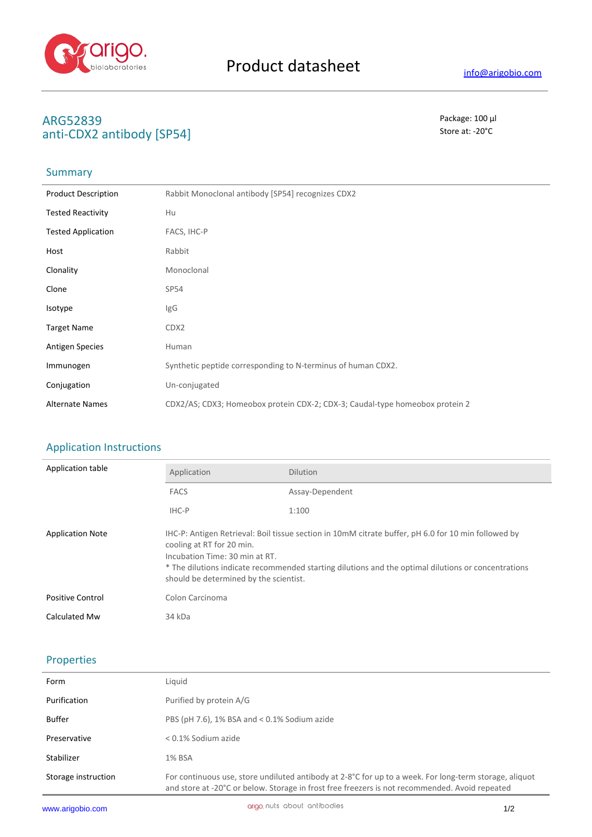

# **ARG52839** Package: 100 μl anti-CDX2 antibody [SP54]

# **Summary**

| <b>Product Description</b> | Rabbit Monoclonal antibody [SP54] recognizes CDX2                            |
|----------------------------|------------------------------------------------------------------------------|
| <b>Tested Reactivity</b>   | Hu                                                                           |
| <b>Tested Application</b>  | FACS, IHC-P                                                                  |
| Host                       | Rabbit                                                                       |
| Clonality                  | Monoclonal                                                                   |
| Clone                      | SP <sub>54</sub>                                                             |
| Isotype                    | IgG                                                                          |
| <b>Target Name</b>         | CDX2                                                                         |
| <b>Antigen Species</b>     | Human                                                                        |
| Immunogen                  | Synthetic peptide corresponding to N-terminus of human CDX2.                 |
| Conjugation                | Un-conjugated                                                                |
| <b>Alternate Names</b>     | CDX2/AS; CDX3; Homeobox protein CDX-2; CDX-3; Caudal-type homeobox protein 2 |

### Application Instructions

| Application table       | Application                                                                                                                                                                                                                                                                                                         | <b>Dilution</b> |
|-------------------------|---------------------------------------------------------------------------------------------------------------------------------------------------------------------------------------------------------------------------------------------------------------------------------------------------------------------|-----------------|
|                         | <b>FACS</b>                                                                                                                                                                                                                                                                                                         | Assay-Dependent |
|                         | IHC-P                                                                                                                                                                                                                                                                                                               | 1:100           |
| <b>Application Note</b> | IHC-P: Antigen Retrieval: Boil tissue section in 10mM citrate buffer, pH 6.0 for 10 min followed by<br>cooling at RT for 20 min.<br>Incubation Time: 30 min at RT.<br>* The dilutions indicate recommended starting dilutions and the optimal dilutions or concentrations<br>should be determined by the scientist. |                 |
| <b>Positive Control</b> | Colon Carcinoma                                                                                                                                                                                                                                                                                                     |                 |
| Calculated Mw           | 34 kDa                                                                                                                                                                                                                                                                                                              |                 |

# Properties

| Form                | Liquid                                                                                                                                                                                                   |
|---------------------|----------------------------------------------------------------------------------------------------------------------------------------------------------------------------------------------------------|
| Purification        | Purified by protein A/G                                                                                                                                                                                  |
| Buffer              | PBS (pH 7.6), 1% BSA and $<$ 0.1% Sodium azide                                                                                                                                                           |
| Preservative        | $< 0.1\%$ Sodium azide                                                                                                                                                                                   |
| Stabilizer          | 1% BSA                                                                                                                                                                                                   |
| Storage instruction | For continuous use, store undiluted antibody at 2-8°C for up to a week. For long-term storage, aliquot<br>and store at -20°C or below. Storage in frost free freezers is not recommended. Avoid repeated |
|                     |                                                                                                                                                                                                          |

J.